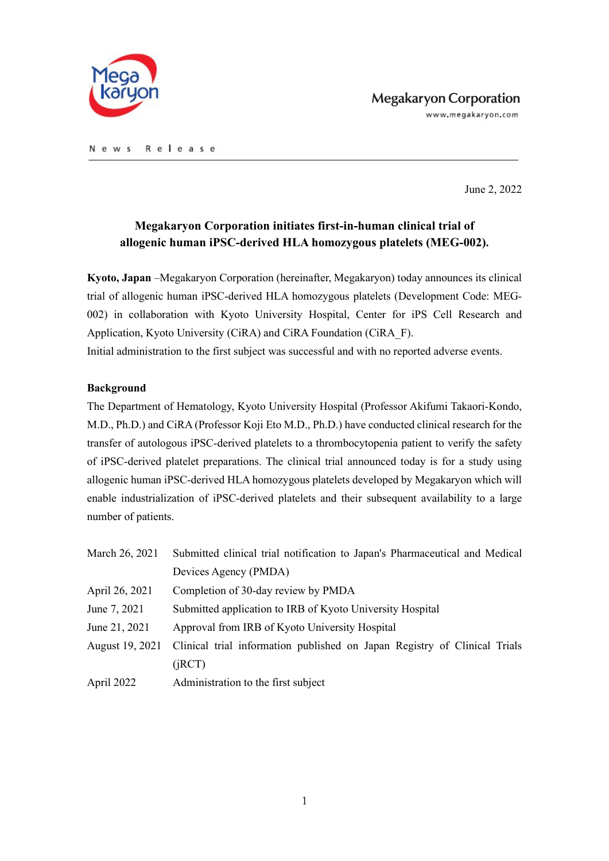

www.megakaryon.com

N e w s Release

June 2, 2022

# **Megakaryon Corporation initiates first-in-human clinical trial of allogenic human iPSC-derived HLA homozygous platelets (MEG-002).**

**Kyoto, Japan** –Megakaryon Corporation (hereinafter, Megakaryon) today announces its clinical trial of allogenic human iPSC-derived HLA homozygous platelets (Development Code: MEG-002) in collaboration with Kyoto University Hospital, Center for iPS Cell Research and Application, Kyoto University (CiRA) and CiRA Foundation (CiRA\_F).

Initial administration to the first subject was successful and with no reported adverse events.

## **Background**

The Department of Hematology, Kyoto University Hospital (Professor Akifumi Takaori-Kondo, M.D., Ph.D.) and CiRA (Professor Koji Eto M.D., Ph.D.) have conducted clinical research for the transfer of autologous iPSC-derived platelets to a thrombocytopenia patient to verify the safety of iPSC-derived platelet preparations. The clinical trial announced today is for a study using allogenic human iPSC-derived HLA homozygous platelets developed by Megakaryon which will enable industrialization of iPSC-derived platelets and their subsequent availability to a large number of patients.

| March 26, 2021  | Submitted clinical trial notification to Japan's Pharmaceutical and Medical |
|-----------------|-----------------------------------------------------------------------------|
|                 | Devices Agency (PMDA)                                                       |
| April 26, 2021  | Completion of 30-day review by PMDA                                         |
| June 7, 2021    | Submitted application to IRB of Kyoto University Hospital                   |
| June 21, 2021   | Approval from IRB of Kyoto University Hospital                              |
| August 19, 2021 | Clinical trial information published on Japan Registry of Clinical Trials   |
|                 | (iRCT)                                                                      |
| April 2022      | Administration to the first subject                                         |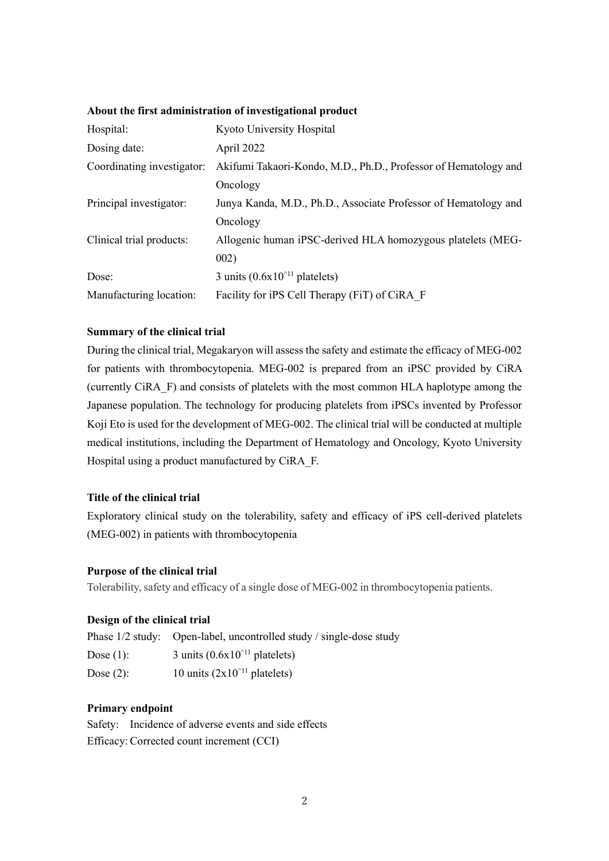| Hospital:                  | Kyoto University Hospital                                       |
|----------------------------|-----------------------------------------------------------------|
| Dosing date:               | April 2022                                                      |
| Coordinating investigator: | Akifumi Takaori-Kondo, M.D., Ph.D., Professor of Hematology and |
|                            | Oncology                                                        |
| Principal investigator:    | Junya Kanda, M.D., Ph.D., Associate Professor of Hematology and |
|                            | Oncology                                                        |
| Clinical trial products:   | Allogenic human iPSC-derived HLA homozygous platelets (MEG-     |
|                            | 002)                                                            |
| Dose:                      | 3 units $(0.6x10^{\text{11}})$ platelets)                       |
| Manufacturing location:    | Facility for iPS Cell Therapy (FiT) of CiRA F                   |

## **About the first administration of investigational product**

### **Summary of the clinical trial**

During the clinical trial, Megakaryon will assess the safety and estimate the efficacy of MEG-002 for patients with thrombocytopenia. MEG-002 is prepared from an iPSC provided by CiRA (currently CiRA\_F) and consists of platelets with the most common HLA haplotype among the Japanese population. The technology for producing platelets from iPSCs invented by Professor Koji Eto is used for the development of MEG-002. The clinical trial will be conducted at multiple medical institutions, including the Department of Hematology and Oncology, Kyoto University Hospital using a product manufactured by CiRA\_F.

#### **Title of the clinical trial**

Exploratory clinical study on the tolerability, safety and efficacy of iPS cell-derived platelets (MEG-002) in patients with thrombocytopenia

#### **Purpose of the clinical trial**

Tolerability, safety and efficacy of a single dose of MEG-002 in thrombocytopenia patients.

## **Design of the clinical trial**

|              | Phase 1/2 study: Open-label, uncontrolled study / single-dose study |
|--------------|---------------------------------------------------------------------|
| Dose $(1)$ : | 3 units $(0.6x10^{\text{1}}$ platelets)                             |

| 1000(1)      | $\sigma$ and $\sigma$ . $\sigma$ . $\sigma$ | $_{\text{pruncive}}$ |
|--------------|---------------------------------------------|----------------------|
| Dose $(2)$ : | 10 units $(2x10^{\text{11}}$ platelets)     |                      |

## **Primary endpoint**

Safety: Incidence of adverse events and side effects Efficacy: Corrected count increment (CCI)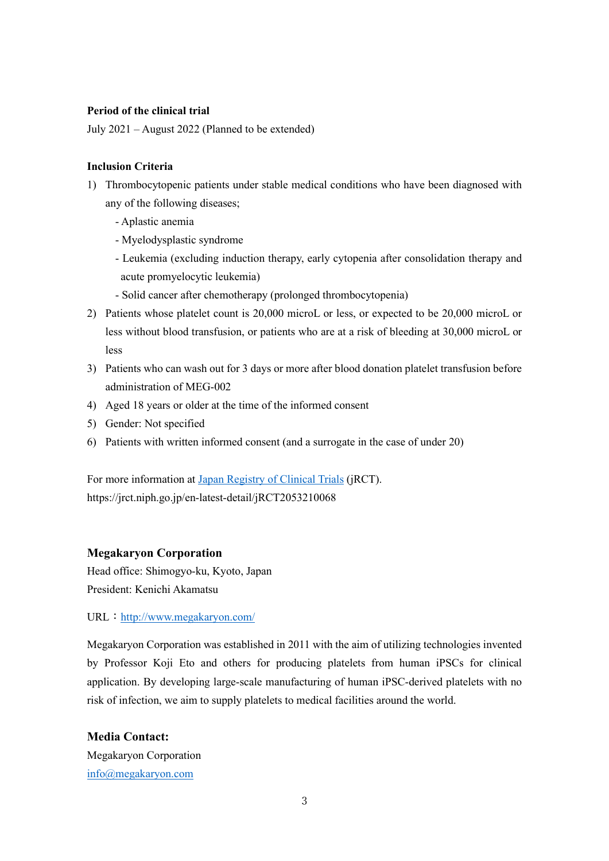## **Period of the clinical trial**

July 2021 – August 2022 (Planned to be extended)

#### **Inclusion Criteria**

- 1) Thrombocytopenic patients under stable medical conditions who have been diagnosed with any of the following diseases;
	- Aplastic anemia
	- Myelodysplastic syndrome
	- Leukemia (excluding induction therapy, early cytopenia after consolidation therapy and acute promyelocytic leukemia)
	- Solid cancer after chemotherapy (prolonged thrombocytopenia)
- 2) Patients whose platelet count is 20,000 microL or less, or expected to be 20,000 microL or less without blood transfusion, or patients who are at a risk of bleeding at 30,000 microL or less
- 3) Patients who can wash out for 3 days or more after blood donation platelet transfusion before administration of MEG-002
- 4) Aged 18 years or older at the time of the informed consent
- 5) Gender: Not specified
- 6) Patients with written informed consent (and a surrogate in the case of under 20)

For more information at [Japan Registry of Clinical Trials](https://jrct.niph.go.jp/en-latest-detail/jRCT2053210068) (jRCT). https://jrct.niph.go.jp/en-latest-detail/jRCT2053210068

## **Megakaryon Corporation**

Head office: Shimogyo-ku, Kyoto, Japan President: Kenichi Akamatsu

URL:<http://www.megakaryon.com/>

Megakaryon Corporation was established in 2011 with the aim of utilizing technologies invented by Professor Koji Eto and others for producing platelets from human iPSCs for clinical application. By developing large-scale manufacturing of human iPSC-derived platelets with no risk of infection, we aim to supply platelets to medical facilities around the world.

**Media Contact:** Megakaryon Corporation [info@megakaryon.com](mailto:info@megakaryon.com)